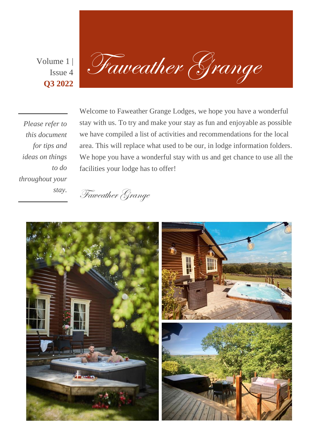Issue 4 **Q3 2022**

Volume 1 Faweather Grange

*Please refer to this document for tips and ideas on things to do throughout your stay.*

Welcome to Faweather Grange Lodges, we hope you have a wonderful stay with us. To try and make your stay as fun and enjoyable as possible we have compiled a list of activities and recommendations for the local area. This will replace what used to be our, in lodge information folders. We hope you have a wonderful stay with us and get chance to use all the facilities your lodge has to offer!



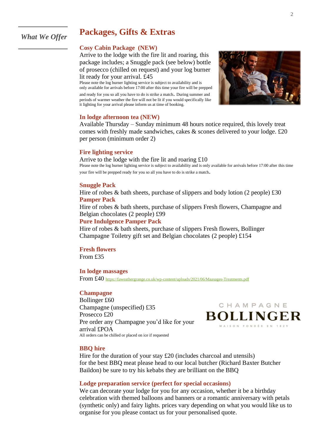## **Packages, Gifts & Extras**

## *What We Offer*

## **Cosy Cabin Package (NEW)**

Arrive to the lodge with the fire lit and roaring, this package includes; a Snuggle pack (see below) bottle of prosecco (chilled on request) and your log burner lit ready for your arrival. £45

Please note the log burner lighting service is subject to availability and is only available for arrivals before 17:00 after this time your fire will be prepped and ready for you so all you have to do is strike a match. During summer and periods of warmer weather the fire will not be lit if you would specifically like it lighting for your arrival please inform us at time of booking.



### **In lodge afternoon tea (NEW)**

Available Thursday – Sunday minimum 48 hours notice required, this lovely treat comes with freshly made sandwiches, cakes & scones delivered to your lodge. £20 per person (minimum order 2)

## **Fire lighting service**

Arrive to the lodge with the fire lit and roaring £10 Please note the log burner lighting service is subject to availability and is only available for arrivals before 17:00 after this time your fire will be prepped ready for you so all you have to do is strike a match.

## **Snuggle Pack**

Hire of robes  $\&$  bath sheets, purchase of slippers and body lotion (2 people) £30 **Pamper Pack**

Hire of robes & bath sheets, purchase of slippers Fresh flowers, Champagne and Belgian chocolates (2 people) £99

## **Pure Indulgence Pamper Pack**

Hire of robes & bath sheets, purchase of slippers Fresh flowers, Bollinger Champagne Toiletry gift set and Belgian chocolates (2 people) £154

**Fresh flowers** From £35

**In lodge massages**

From £40 <https://faweathergrange.co.uk/wp-content/uploads/2021/06/Maasages-Treatments.pdf>

## **Champagne**

Bollinger £60 Champagne (unspecified) £35 Prosecco £20 Pre order any Champagne you'd like for your arrival £POA All orders can be chilled or placed on ice if requested



#### **BBQ hire**

Hire for the duration of your stay £20 (includes charcoal and utensils) for the best BBQ meat please head to our local butcher (Richard Baxter Butcher Baildon) be sure to try his kebabs they are brilliant on the BBQ

## **Lodge preparation service (perfect for special occasions)**

We can decorate your lodge for you for any occasion, whether it be a birthday celebration with themed balloons and banners or a romantic anniversary with petals (synthetic only) and fairy lights. prices vary depending on what you would like us to organise for you please contact us for your personalised quote.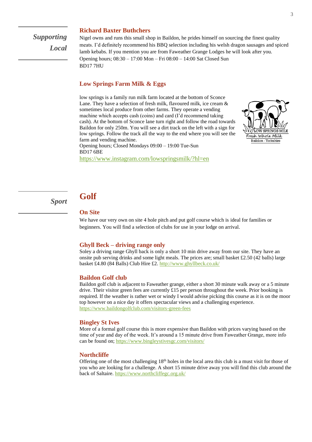*Supporting Local*

#### **Richard Baxter Buthchers**

Nigel owns and runs this small shop in Baildon, he prides himself on sourcing the finest quality meats. I'd definitely recommend his BBQ selection including his welsh dragon sausages and spiced lamb kebabs. If you mention you are from Faweather Grange Lodges he will look after you. Opening hours; 08:30 – 17:00 Mon – Fri 08:00 – 14:00 Sat Closed Sun BD17 7HU

## **Low Springs Farm Milk & Eggs**

low springs is a family run milk farm located at the bottom of Sconce Lane. They have a selection of fresh milk, flavoured milk, ice cream & sometimes local produce from other farms. They operate a vending machine which accepts cash (coins) and card (I'd recommend taking cash). At the bottom of Sconce lane turn right and follow the road towards Baildon for only 250m. You will see a dirt track on the left with a sign for low springs. Follow the track all the way to the end where you will see the farm and vending machine.



Opening hours; Closed Mondays 09:00 – 19:00 Tue-Sun BD17 6BE

<https://www.instagram.com/lowspringsmilk/?hl=en>

#### **Golf** *Sport*

## **On Site**

We have our very own on site 4 hole pitch and put golf course which is ideal for families or beginners. You will find a selection of clubs for use in your lodge on arrival.

#### **Ghyll Beck – driving range only**

Soley a driving range Ghyll back is only a short 10 min drive away from our site. They have an onsite pub serving drinks and some light meals. The prices are; small basket £2.50 (42 balls) large basket £4.80 (84 Balls) Club Hire £2.<http://www.ghyllbeck.co.uk/>

#### **Baildon Golf club**

Baildon golf club is adjacent to Faweather grange, either a short 30 minute walk away or a 5 minute drive. Their visitor green fees are currently  $\pounds15$  per person throughout the week. Prior booking is required. If the weather is rather wet or windy I would advise picking this course as it is on the moor top however on a nice day it offers spectacular views and a challenging experience. <https://www.baildongolfclub.com/visitors-green-fees>

#### **Bingley St Ives**

More of a formal golf course this is more expensive than Baildon with prices varying based on the time of year and day of the week. It's around a 15 minute drive from Faweather Grange, more info can be found on;<https://www.bingleystivesgc.com/visitors/>

#### **Northcliffe**

Offering one of the most challenging  $18<sup>th</sup>$  holes in the local area this club is a must visit for those of you who are looking for a challenge. A short 15 minute drive away you will find this club around the back of Saltaire[. https://www.northcliffegc.org.uk/](https://www.northcliffegc.org.uk/)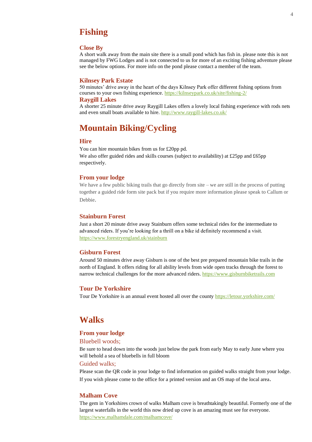## **Fishing**

#### **Close By**

A short walk away from the main site there is a small pond which has fish in. please note this is not managed by FWG Lodges and is not connected to us for more of an exciting fishing adventure please see the below options. For more info on the pond please contact a member of the team.

#### **Kilnsey Park Estate**

50 minutes' drive away in the heart of the days Kilnsey Park offer different fishing options from courses to your own fishing experience[. https://kilnseypark.co.uk/site/fishing-2/](https://kilnseypark.co.uk/site/fishing-2/)

#### **Raygill Lakes**

A shorter 25 minute drive away Raygill Lakes offers a lovely local fishing experience with rods nets and even small boats available to hire.<http://www.raygill-lakes.co.uk/>

# **Mountain Biking/Cycling**

## **Hire**

You can hire mountain bikes from us for £20pp pd. We also offer guided rides and skills courses (subject to availability) at £25pp and £65pp respectively.

### **From your lodge**

We have a few public biking trails that go directly from site – we are still in the process of putting together a guided ride form site pack but if you require more information please speak to Callum or Debbie.

## **Stainburn Forest**

Just a short 20 minute drive away Stainburn offers some technical rides for the intermediate to advanced riders. If you're looking for a thrill on a bike id definitely recommend a visit. <https://www.forestryengland.uk/stainburn>

## **Gisburn Forest**

Around 50 minutes drive away Gisburn is one of the best pre prepared mountain bike trails in the north of England. It offers riding for all ability levels from wide open tracks through the forest to narrow technical challenges for the more advanced riders[. https://www.gisburnbiketrails.com](https://www.gisburnbiketrails.com/)

## **Tour De Yorkshire**

Tour De Yorkshire is an annual event hosted all over the county<https://letour.yorkshire.com/>

## **Walks**

### **From your lodge**

#### Bluebell woods;

Be sure to head down into the woods just below the park from early May to early June where you will behold a sea of bluebells in full bloom

## Guided walks;

Please scan the QR code in your lodge to find information on guided walks straight from your lodge. If you wish please come to the office for a printed version and an OS map of the local area.

## **Malham Cove**

The gem in Yorkshires crown of walks Malham cove is breathtakingly beautiful. Formerly one of the largest waterfalls in the world this now dried up cove is an amazing must see for everyone. <https://www.malhamdale.com/malhamcove/>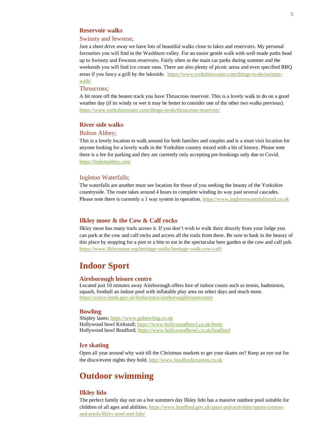## **Reservoir walks**

#### Swinsty and fewston;

Just a short drive away we have lots of beautiful walks close to lakes and reservoirs. My personal favourites you will find in the Washburn valley. For an easier gentle walk with well-made paths head up to Swinsty and Fewston reservoirs. Fairly often in the main car parks during summer and the weekends you will find ice cream vans. There are also plenty of picnic areas and even specified BBQ areas if you fancy a grill by the lakeside. [https://www.yorkshirewater.com/things-to-do/swinsty](https://www.yorkshirewater.com/things-to-do/swinsty-walk/)[walk/](https://www.yorkshirewater.com/things-to-do/swinsty-walk/)

## Thruscross;

A bit more off the beaten track you have Thruscross reservoir. This is a lovely walk to do on a good weather day (if its windy or wet it may be better to consider one of the other two walks previous). <https://www.yorkshirewater.com/things-to-do/thruscross-reservoir/>

## **River side walks**

#### Bolton Abbey;

This is a lovely location to walk around for both families and couples and is a must visit location for anyone looking for a lovely walk in the Yorkshire country mixed with a bit of history. Please note there is a fee for parking and they are currently only accepting pre-bookings only due to Covid. [https://boltonabbey.com](https://boltonabbey.com/)

#### Ingleton Waterfalls;

The waterfalls are another must see location for those of you seeking the beauty of the Yorkshire countryside. The route takes around 4 hours to complete winding its way past several cascades. Please note there is currently a 1 way system in operation[. https://www.ingletonwaterfallstrail.co.uk](https://www.ingletonwaterfallstrail.co.uk/)

#### **Ilkley moor & the Cow & Calf rocks**

Ilkley moor has many trails across it. If you don't wish to walk there directly from your lodge you can park at the cow and calf rocks and access all the trails from there. Be sure to bask in the beauty of this place by stopping for a pint or a bite to eat in the spectacular beer garden at the cow and calf pub. <https://www.ilkleymoor.org/heritage-walks/heritage-walk-cow-calf/>

## **Indoor Sport**

#### **Aireborough leisure centre**

Located just 10 minutes away Aireborough offers hire of indoor courts such as tennis, badminton, squash, football an indoor pool with inflatable play area on select days and much more. <https://active.leeds.gov.uk/findacentre/aireboroughleisurecentre>

#### **Bowling**

Shipley lanes[; https://www.gobowling.co.uk](https://www.gobowling.co.uk/) Hollywood bowl Kirkstall;<https://www.hollywoodbowl.co.uk/leeds> Hollywood bowl Bradford;<https://www.hollywoodbowl.co.uk/bradford>

## **Ice skating**

Open all year around why wait till the Christmas markets to get your skates on? Keep an eye out for the disco/event nights they hold. [http://www.bradfordicearena.co.uk](http://www.bradfordicearena.co.uk/)

## **Outdoor swimming**

### **Ilkley lido**

The perfect family day out on a hot summers day Ilkley lido has a massive outdoor pool suitable for children of all ages and abilities. [https://www.bradford.gov.uk/sport-and-activities/sports-centres](https://www.bradford.gov.uk/sport-and-activities/sports-centres-and-pools/ilkley-pool-and-lido/)[and-pools/ilkley-pool-and-lido/](https://www.bradford.gov.uk/sport-and-activities/sports-centres-and-pools/ilkley-pool-and-lido/)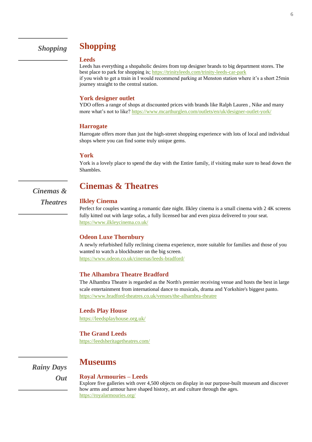# **Shopping**

### **Leeds**

Leeds has everything a shopaholic desires from top designer brands to big department stores. The best place to park for shopping is[; https://trinityleeds.com/trinity-leeds-car-park](https://trinityleeds.com/trinity-leeds-car-park) if you wish to get a train in I would recommend parking at Menston station where it's a short 25min journey straight to the central station.

#### **York designer outlet**

YDO offers a range of shops at discounted prices with brands like Ralph Lauren , Nike and many more what's not to like?<https://www.mcarthurglen.com/outlets/en/uk/designer-outlet-york/>

### **Harrogate**

Harrogate offers more than just the high-street shopping experience with lots of local and individual shops where you can find some truly unique gems.

#### **York**

York is a lovely place to spend the day with the Entire family, if visiting make sure to head down the Shambles.

*Cinemas & Theatres*

## **Cinemas & Theatres**

## **Ilkley Cinema**

Perfect for couples wanting a romantic date night. Ilkley cinema is a small cinema with 2 4K screens fully kitted out with large sofas, a fully licensed bar and even pizza delivered to your seat. <https://www.ilkleycinema.co.uk/>

### **Odeon Luxe Thornbury**

A newly refurbished fully reclining cinema experience, more suitable for families and those of you wanted to watch a blockbuster on the big screen. <https://www.odeon.co.uk/cinemas/leeds-bradford/>

#### **The Alhambra Theatre Bradford**

The Alhambra Theatre is regarded as the North's premier receiving venue and hosts the best in large scale entertainment from international dance to musicals, drama and Yorkshire's biggest panto. <https://www.bradford-theatres.co.uk/venues/the-alhambra-theatre>

#### **Leeds Play House**

<https://leedsplayhouse.org.uk/>

## **The Grand Leeds**

<https://leedsheritagetheatres.com/>

*Rainy Days* 

*Out*

# **Museums**

## **Royal Armouries – Leeds**

Explore five galleries with over 4,500 objects on display in our purpose-built museum and discover how arms and armour have shaped history, art and culture through the ages. <https://royalarmouries.org/>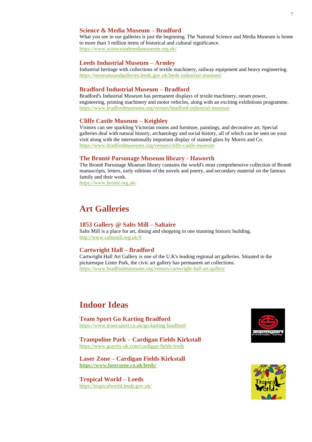## **Science & Media Museum – Bradford**

What you see in our galleries is just the beginning. The National Science and Media Museum is home to more than 3 million items of historical and cultural significance. <https://www.scienceandmediamuseum.org.uk/>

#### **Leeds Industrial Museum – Armley**

Industrial heritage with collections of textile machinery, railway equipment and heavy engineering. https://museumsandgalleries.leeds.gov.uk/leeds-industrial-museum/

### **Bradford Industrial Museum – Bradford**

Bradford's Industrial Museum has permanent displays of textile machinery, steam power, engineering, printing machinery and motor vehicles, along with an exciting exhibitions programme. <https://www.bradfordmuseums.org/venues/bradford-industrial-museum>

#### **Cliffe Castle Museum – Keighley**

Visitors can see sparkling Victorian rooms and furniture, paintings, and decorative art. Special galleries deal with natural history, archaeology and social history, all of which can be seen on your visit along with the internationally important display of stained glass by Morris and Co. <https://www.bradfordmuseums.org/venues/cliffe-castle-museum>

### **The Brontë Parsonage Museum library - Haworth**

The Brontë Parsonage Museum library contains the world's most comprehensive collection of Brontë manuscripts, letters, early editions of the novels and poetry, and secondary material on the famous family and their work. <https://www.bronte.org.uk/>

## **Art Galleries**

#### **1853 Gallery @ Salts Mill – Saltaire**

Salts Mill is a place for art, dining and shopping in one stunning historic building. [http://www.saltsmill.org.uk/#](http://www.saltsmill.org.uk/)

### **Cartwright Hall – Bradford**

Cartwright Hall Art Gallery is one of the U.K's leading regional art galleries. Situated in the picturesque Lister Park, the civic art gallery has permanent art collections. <https://www.bradfordmuseums.org/venues/cartwright-hall-art-gallery>

# **Indoor Ideas**

**Team Sport Go Karting Bradford**  <https://www.team-sport.co.uk/go-karting-bradford/>

**Trampoline Park – Cardigan Fields Kirkstall** <https://www.gravity-uk.com/cardigan-fields-leeds>

**Laser Zone – Cardigan Fields Kirkstall <https://www.laserzone.co.uk/leeds/>**

**Tropical World – Leeds** <https://tropicalworld.leeds.gov.uk/>



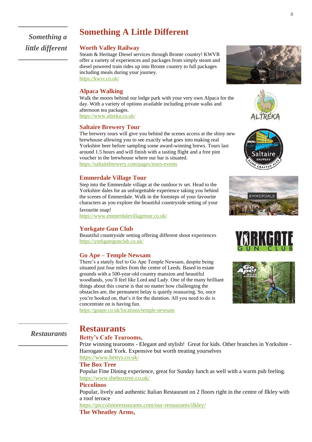# **Something A Little Different**

*Something a little different*

## **Worth Valley Railway**

Steam & Heritage Diesel services through Bronte country! KWVR offer a variety of experiences and packages from simply steam and diesel powered train rides up into Bronte country to full packages including meals during your journey. <https://kwvr.co.uk/>

### **Alpaca Walking**

Walk the moors behind our lodge park with your very own Alpaca for the day. With a variety of options available including private walks and afternoon tea packages. <https://www.altreka.co.uk/>

#### **Saltaire Brewery Tour**

The brewery tours will give you behind the scenes access at the shiny new brewhouse allowing you to see exactly what goes into making real Yorkshire beer before sampling some award-winning brews. Tours last around 1.5 hours and will finish with a tasting flight and a free pint voucher in the brewhouse where our bar is situated. <https://saltairebrewery.com/pages/tours-events>

### **Emmerdale Village Tour**

Step into the Emmerdale village at the outdoor tv set. Head to the Yorkshire dales for an unforgettable experience taking you behind the scenes of Emmerdale. Walk in the footsteps of your favourite characters as you explore the beautiful countryside setting of your

favourite soap! <https://www.emmerdalevillagetour.co.uk/>

#### **Yorkgate Gun Club**

Beautiful countryside setting offering different shoot experiences <https://yorkgategunclub.co.uk/>

### **Go Ape – Temple Newsam**

There's a stately feel to Go Ape Temple Newsam, despite being situated just four miles from the centre of Leeds. Based in estate grounds with a 500-year-old country mansion and beautiful woodlands, you'll feel like Lord and Lady. One of the many brilliant things about this course is that no matter how challenging the obstacles are, the permanent belay is quietly reassuring. So, once you're hooked on, that's it for the duration. All you need to do is concentrate on is having fun.

<https://goape.co.uk/locations/temple-newsam>

## *Restaurants*

## **Betty's Cafe Tearooms,**

**Restaurants**

Prize winning tearooms - Elegant and stylish! Great for kids. Other branches in Yorkshire - Harrogate and York. Expensive but worth treating yourselves <https://www.bettys.co.uk/>

#### **The Box Tree**

Popular Fine Dining experience, great for Sunday lunch as well with a warm pub feeling. <https://www.theboxtree.co.uk/>

#### **Piccolinos**

Popular, lively and authentic Italian Restaurant on 2 floors right in the centre of Ilkley with a roof terrace

<https://piccolinorestaurants.com/our-restaurants/ilkley/>

## **The Wheatley Arms,**





altail



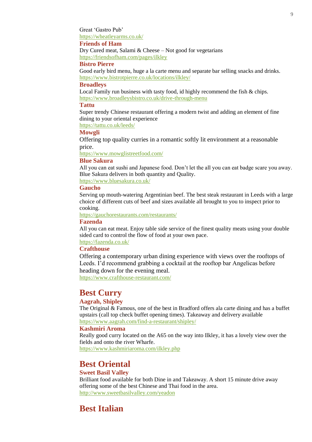Great 'Gastro Pub'

<https://wheatleyarms.co.uk/>

## **Friends of Ham**

Dry Cured meat, Salami & Cheese – Not good for vegetarians <https://friendsofham.com/pages/ilkley>

## **Bistro Pierre**

Good early bird menu, huge a la carte menu and separate bar selling snacks and drinks. <https://www.bistrotpierre.co.uk/locations/ilkley/>

## **Broadleys**

Local Family run business with tasty food, id highly recommend the fish & chips. <https://www.broadleysbistro.co.uk/drive-through-menu>

#### **Tattu**

Super trendy Chinese restaurant offering a modern twist and adding an element of fine dining to your oriental experience

<https://tattu.co.uk/leeds/>

## **Mowgli**

Offering top quality curries in a romantic softly lit environment at a reasonable price.

<https://www.mowglistreetfood.com/>

## **Blue Sakura**

All you can eat sushi and Japanese food. Don't let the all you can eat badge scare you away. Blue Sakura delivers in both quantity and Quality.

<https://www.bluesakura.co.uk/>

## **Gaucho**

Serving up mouth-watering Argentinian beef. The best steak restaurant in Leeds with a large choice of different cuts of beef and sizes available all brought to you to inspect prior to cooking.

<https://gauchorestaurants.com/restaurants/>

## **Fazenda**

All you can eat meat. Enjoy table side service of the finest quality meats using your double sided card to control the flow of food at your own pace.

<https://fazenda.co.uk/>

## **Crafthouse**

Offering a contemporary urban dining experience with views over the rooftops of Leeds. I'd recommend grabbing a cocktail at the rooftop bar Angelicas before heading down for the evening meal.

<https://www.crafthouse-restaurant.com/>

## **Best Curry**

## **Aagrah, Shipley**

The Original & Famous, one of the best in Bradford offers ala carte dining and has a buffet upstairs (call top check buffet opening times). Takeaway and delivery available <https://www.aagrah.com/find-a-restaurant/shipley/>

#### **Kashmiri Aroma**

Really good curry located on the A65 on the way into Ilkley, it has a lovely view over the fields and onto the river Wharfe.

<https://www.kashmiriaroma.com/ilkley.php>

## **Best Oriental**

## **Sweet Basil Valley**

Brilliant food available for both Dine in and Takeaway. A short 15 minute drive away offering some of the best Chinese and Thai food in the area. <http://www.sweetbasilvalley.com/yeadon>

## **Best Italian**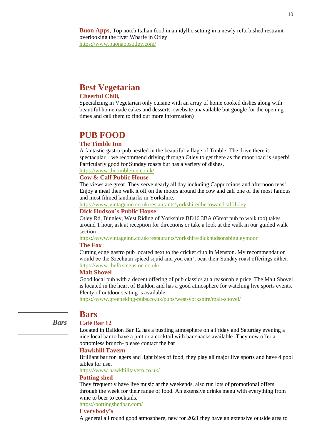**Buon Apps**, Top notch Italian food in an idyllic setting in a newly refurbished restraint overlooking the river Wharfe in Otley <https://www.buonappsotley.com/>

## **Best Vegetarian**

## **Cheerful Chili,**

Specializing in Vegetarian only cuisine with an array of home cooked dishes along with beautiful homemade cakes and desserts. (website unavailable but google for the opening times and call them to find out more information)

## **PUB FOOD**

## **The Timble Inn**

A fantastic gastro-pub nestled in the beautiful village of Timble. The drive there is spectacular – we recommend driving through Otley to get there as the moor road is superb! Particularly good for Sunday roasts but has a variety of dishes.

## <https://www.thetimbleinn.co.uk/>

## **Cow & Calf Public House**

The views are great. They serve nearly all day including Cappuccinos and afternoon teas! Enjoy a meal then walk it off on the moors around the cow and calf one of the most famous and most filmed landmarks in Yorkshire.

<https://www.vintageinn.co.uk/restaurants/yorkshire/thecowandcalfilkley>

## **Dick Hudson's Public House**

Otley Rd, Bingley, West Riding of Yorkshire BD16 3BA (Great pub to walk too) takes around 1 hour, ask at reception for directions or take a look at the walk in our guided walk section

<https://www.vintageinn.co.uk/restaurants/yorkshire/dickhudsonsbingleymoor>

## **The Fox**

Cutting edge gastro pub located next to the cricket club in Menston. My recommendation would be the Szechuan spiced squid and you can't beat their Sunday roast offerings either. <https://www.thefoxmenston.co.uk/>

## **Malt Shovel**

Good local pub with a decent offering of pub classics at a reasonable price. The Malt Shovel is located in the heart of Baildon and has a good atmosphere for watching live sports events. Plenty of outdoor seating is available.

<https://www.greeneking-pubs.co.uk/pubs/west-yorkshire/malt-shovel/>

# **Bars**

*Bars*

### **Café Bar 12**

Located in Baildon Bar 12 has a bustling atmosphere on a Friday and Saturday evening a nice local bar to have a pint or a cocktail with bar snacks available. They now offer a bottomless brunch- please contact the bar

## **Hawkhill Tavern**

Brilliant bar for lagers and light bites of food, they play all major live sports and have 4 pool tables for use**.**

<https://www.hawkhilltavern.co.uk/>

## **Potting shed**

They frequently have live music at the weekends, also run lots of promotional offers through the week for their range of food. An extensive drinks menu with everything from wine to beer to cocktails.

<https://pottingshedbar.com/>

## **Everybody's**

A general all round good atmosphere, new for 2021 they have an extensive outside area to